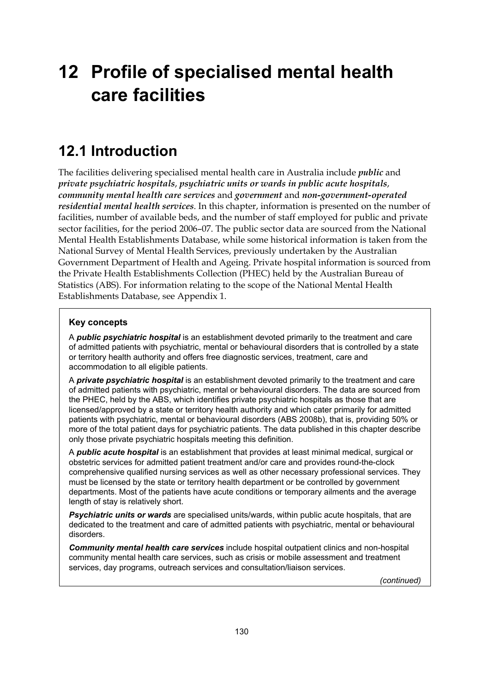# **12 Profile of specialised mental health care facilities**

# **12.1 Introduction**

The facilities delivering specialised mental health care in Australia include *public* and *private psychiatric hospitals*, *psychiatric units or wards in public acute hospitals*, *community mental health care services* and *government* and *non-government-operated residential mental health services*. In this chapter, information is presented on the number of facilities, number of available beds, and the number of staff employed for public and private sector facilities, for the period 2006–07. The public sector data are sourced from the National Mental Health Establishments Database, while some historical information is taken from the National Survey of Mental Health Services, previously undertaken by the Australian Government Department of Health and Ageing. Private hospital information is sourced from the Private Health Establishments Collection (PHEC) held by the Australian Bureau of Statistics (ABS). For information relating to the scope of the National Mental Health Establishments Database, see Appendix 1.

## **Key concepts**

A *public psychiatric hospital* is an establishment devoted primarily to the treatment and care of admitted patients with psychiatric, mental or behavioural disorders that is controlled by a state or territory health authority and offers free diagnostic services, treatment, care and accommodation to all eligible patients.

A *private psychiatric hospital* is an establishment devoted primarily to the treatment and care of admitted patients with psychiatric, mental or behavioural disorders. The data are sourced from the PHEC, held by the ABS, which identifies private psychiatric hospitals as those that are licensed/approved by a state or territory health authority and which cater primarily for admitted patients with psychiatric, mental or behavioural disorders (ABS 2008b), that is, providing 50% or more of the total patient days for psychiatric patients. The data published in this chapter describe only those private psychiatric hospitals meeting this definition.

A *public acute hospital* is an establishment that provides at least minimal medical, surgical or obstetric services for admitted patient treatment and/or care and provides round-the-clock comprehensive qualified nursing services as well as other necessary professional services. They must be licensed by the state or territory health department or be controlled by government departments. Most of the patients have acute conditions or temporary ailments and the average length of stay is relatively short.

*Psychiatric units or wards* are specialised units/wards, within public acute hospitals, that are dedicated to the treatment and care of admitted patients with psychiatric, mental or behavioural disorders.

*Community mental health care services* include hospital outpatient clinics and non-hospital community mental health care services, such as crisis or mobile assessment and treatment services, day programs, outreach services and consultation/liaison services.

*(continued)*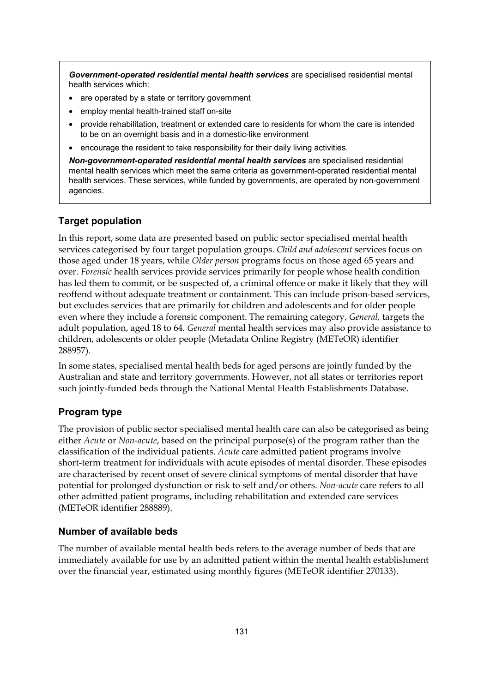*Government-operated residential mental health services* are specialised residential mental health services which:

- are operated by a state or territory government
- employ mental health-trained staff on-site
- provide rehabilitation, treatment or extended care to residents for whom the care is intended to be on an overnight basis and in a domestic-like environment
- encourage the resident to take responsibility for their daily living activities.

*Non-government-operated residential mental health services* are specialised residential mental health services which meet the same criteria as government-operated residential mental health services. These services, while funded by governments, are operated by non-government agencies.

## **Target population**

In this report, some data are presented based on public sector specialised mental health services categorised by four target population groups. *Child and adolescent* services focus on those aged under 18 years, while *Older person* programs focus on those aged 65 years and over. *Forensic* health services provide services primarily for people whose health condition has led them to commit, or be suspected of, a criminal offence or make it likely that they will reoffend without adequate treatment or containment. This can include prison-based services, but excludes services that are primarily for children and adolescents and for older people even where they include a forensic component. The remaining category, *General,* targets the adult population, aged 18 to 64. *General* mental health services may also provide assistance to children, adolescents or older people (Metadata Online Registry (METeOR) identifier 288957).

In some states, specialised mental health beds for aged persons are jointly funded by the Australian and state and territory governments. However, not all states or territories report such jointly-funded beds through the National Mental Health Establishments Database.

## **Program type**

The provision of public sector specialised mental health care can also be categorised as being either *Acute* or *Non-acute*, based on the principal purpose(s) of the program rather than the classification of the individual patients. *Acute* care admitted patient programs involve short-term treatment for individuals with acute episodes of mental disorder. These episodes are characterised by recent onset of severe clinical symptoms of mental disorder that have potential for prolonged dysfunction or risk to self and/or others. *Non-acute* care refers to all other admitted patient programs, including rehabilitation and extended care services (METeOR identifier 288889).

## **Number of available beds**

The number of available mental health beds refers to the average number of beds that are immediately available for use by an admitted patient within the mental health establishment over the financial year, estimated using monthly figures (METeOR identifier 270133).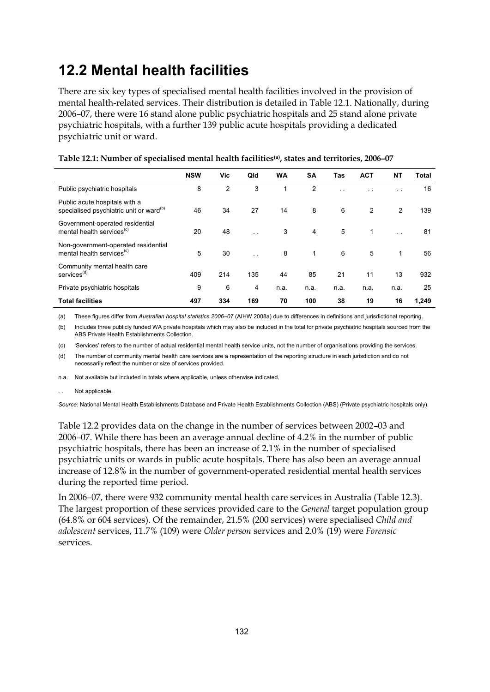# **12.2 Mental health facilities**

There are six key types of specialised mental health facilities involved in the provision of mental health-related services. Their distribution is detailed in Table 12.1. Nationally, during 2006–07, there were 16 stand alone public psychiatric hospitals and 25 stand alone private psychiatric hospitals, with a further 139 public acute hospitals providing a dedicated psychiatric unit or ward.

|                                                                                      | <b>NSW</b> | Vic            | Qld                  | <b>WA</b> | <b>SA</b>      | Tas                  | <b>ACT</b> | <b>NT</b>            | Total |
|--------------------------------------------------------------------------------------|------------|----------------|----------------------|-----------|----------------|----------------------|------------|----------------------|-------|
| Public psychiatric hospitals                                                         | 8          | $\overline{2}$ | 3                    |           | $\overline{2}$ | $\ddot{\phantom{1}}$ | . .        | $\ddot{\phantom{1}}$ | 16    |
| Public acute hospitals with a<br>specialised psychiatric unit or ward <sup>(b)</sup> | 46         | 34             | 27                   | 14        | 8              | 6                    | 2          | 2                    | 139   |
| Government-operated residential<br>mental health services <sup>(c)</sup>             | 20         | 48             | $\ddot{\phantom{1}}$ | 3         | 4              | 5                    | 1          | $\ddot{\phantom{1}}$ | 81    |
| Non-government-operated residential<br>mental health services <sup>(c)</sup>         | 5          | 30             | $\ddotsc$            | 8         | $\mathbf{1}$   | 6                    | 5          | $\mathbf{1}$         | 56    |
| Community mental health care<br>services <sup>(d)</sup>                              | 409        | 214            | 135                  | 44        | 85             | 21                   | 11         | 13                   | 932   |
| Private psychiatric hospitals                                                        | 9          | 6              | 4                    | n.a.      | n.a.           | n.a.                 | n.a.       | n.a.                 | 25    |
| <b>Total facilities</b>                                                              | 497        | 334            | 169                  | 70        | 100            | 38                   | 19         | 16                   | 1,249 |

**Table 12.1: Number of specialised mental health facilities(a), states and territories, 2006–07** 

(a) These figures differ from *Australian hospital statistics 2006–07* (AIHW 2008a) due to differences in definitions and jurisdictional reporting.

(b) Includes three publicly funded WA private hospitals which may also be included in the total for private psychiatric hospitals sourced from the ABS Private Health Establishments Collection.

(c) 'Services' refers to the number of actual residential mental health service units, not the number of organisations providing the services.

(d) The number of community mental health care services are a representation of the reporting structure in each jurisdiction and do not necessarily reflect the number or size of services provided.

n.a. Not available but included in totals where applicable, unless otherwise indicated.

Not applicable.

*Source:* National Mental Health Establishments Database and Private Health Establishments Collection (ABS) (Private psychiatric hospitals only).

Table 12.2 provides data on the change in the number of services between 2002–03 and 2006–07. While there has been an average annual decline of 4.2% in the number of public psychiatric hospitals, there has been an increase of 2.1% in the number of specialised psychiatric units or wards in public acute hospitals. There has also been an average annual increase of 12.8% in the number of government-operated residential mental health services during the reported time period.

In 2006–07, there were 932 community mental health care services in Australia (Table 12.3). The largest proportion of these services provided care to the *General* target population group (64.8% or 604 services). Of the remainder, 21.5% (200 services) were specialised *Child and adolescent* services, 11.7% (109) were *Older person* services and 2.0% (19) were *Forensic* services.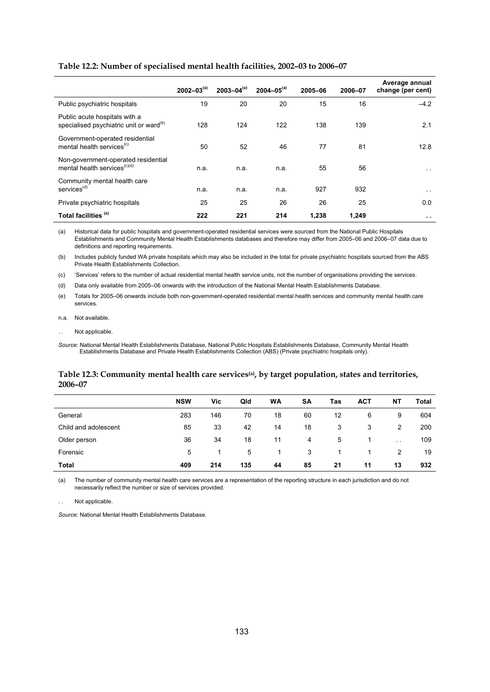|                                                                                      | $2002 - 03^{(a)}$ | $2003 - 04^{(a)}$ | $2004 - 05^{(a)}$ | 2005-06 | 2006-07 | Average annual<br>change (per cent) |
|--------------------------------------------------------------------------------------|-------------------|-------------------|-------------------|---------|---------|-------------------------------------|
| Public psychiatric hospitals                                                         | 19                | 20                | 20                | 15      | 16      | $-4.2$                              |
| Public acute hospitals with a<br>specialised psychiatric unit or ward <sup>(b)</sup> | 128               | 124               | 122               | 138     | 139     | 2.1                                 |
| Government-operated residential<br>mental health services <sup>(c)</sup>             | 50                | 52                | 46                | 77      | 81      | 12.8                                |
| Non-government-operated residential<br>mental health services <sup>(c)(d)</sup>      | n.a.              | n.a.              | n.a.              | 55      | 56      | $\ddot{\phantom{1}}$                |
| Community mental health care<br>services <sup>(d)</sup>                              | n.a.              | n.a.              | n.a.              | 927     | 932     | $\sim$ $\sim$                       |
| Private psychiatric hospitals                                                        | 25                | 25                | 26                | 26      | 25      | 0.0                                 |
| Total facilities <sup>(e)</sup>                                                      | 222               | 221               | 214               | 1.238   | 1,249   | $\sim$                              |

#### **Table 12.2: Number of specialised mental health facilities, 2002–03 to 2006–07**

(a) Historical data for public hospitals and government-operated residential services were sourced from the National Public Hospitals Establishments and Community Mental Health Establishments databases and therefore may differ from 2005–06 and 2006–07 data due to definitions and reporting requirements.

(b) Includes publicly funded WA private hospitals which may also be included in the total for private psychiatric hospitals sourced from the ABS Private Health Establishments Collection.

(c) 'Services' refers to the number of actual residential mental health service units, not the number of organisations providing the services.

(d) Data only available from 2005–06 onwards with the introduction of the National Mental Health Establishments Database.

(e) Totals for 2005–06 onwards include both non-government-operated residential mental health services and community mental health care services.

n.a. Not available.

. . Not applicable.

*Source:* National Mental Health Establishments Database, National Public Hospitals Establishments Database, Community Mental Health Establishments Database and Private Health Establishments Collection (ABS) (Private psychiatric hospitals only).

#### **Table 12.3: Community mental health care services(a), by target population, states and territories, 2006–07**

|                      | <b>NSW</b> | Vic | Qld | <b>WA</b> | <b>SA</b>      | Tas | <b>ACT</b> | NΤ            | Total |
|----------------------|------------|-----|-----|-----------|----------------|-----|------------|---------------|-------|
| General              | 283        | 146 | 70  | 18        | 60             | 12  | 6          | 9             | 604   |
| Child and adolescent | 85         | 33  | 42  | 14        | 18             | 3   | 3          | 2             | 200   |
| Older person         | 36         | 34  | 18  | 11        | $\overline{4}$ | 5   |            | $\sim$ $\sim$ | 109   |
| Forensic             | 5          |     | 5   |           | 3              |     |            | 2             | 19    |
| Total                | 409        | 214 | 135 | 44        | 85             | 21  | 11         | 13            | 932   |

(a) The number of community mental health care services are a representation of the reporting structure in each jurisdiction and do not necessarily reflect the number or size of services provided.

Not applicable.

*Source:* National Mental Health Establishments Database.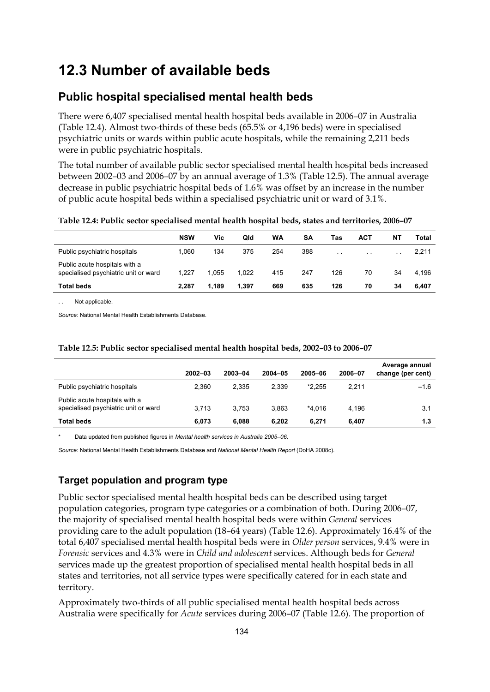## **12.3 Number of available beds**

## **Public hospital specialised mental health beds**

There were 6,407 specialised mental health hospital beds available in 2006–07 in Australia (Table 12.4). Almost two-thirds of these beds (65.5% or 4,196 beds) were in specialised psychiatric units or wards within public acute hospitals, while the remaining 2,211 beds were in public psychiatric hospitals.

The total number of available public sector specialised mental health hospital beds increased between 2002–03 and 2006–07 by an annual average of 1.3% (Table 12.5). The annual average decrease in public psychiatric hospital beds of 1.6% was offset by an increase in the number of public acute hospital beds within a specialised psychiatric unit or ward of 3.1%.

|                                                                       | <b>NSW</b> | Vic   | Qld   | WA  | SΑ  | Tas    | ACT    | ΝT              | Total |
|-----------------------------------------------------------------------|------------|-------|-------|-----|-----|--------|--------|-----------------|-------|
| Public psychiatric hospitals                                          | 1.060      | 134   | 375   | 254 | 388 | $\sim$ | $\sim$ | $\cdot$ $\cdot$ | 2,211 |
| Public acute hospitals with a<br>specialised psychiatric unit or ward | 1.227      | 1.055 | 1.022 | 415 | 247 | 126    | 70     | 34              | 4.196 |
| <b>Total beds</b>                                                     | 2.287      | 1.189 | 1.397 | 669 | 635 | 126    | 70     | 34              | 6.407 |

**Table 12.4: Public sector specialised mental health hospital beds, states and territories, 2006–07** 

Not applicable.

*Source:* National Mental Health Establishments Database.

|                                                                       | 2002-03 | 2003-04 | 2004-05 | 2005-06  | 2006-07 | Average annual<br>change (per cent) |
|-----------------------------------------------------------------------|---------|---------|---------|----------|---------|-------------------------------------|
| Public psychiatric hospitals                                          | 2,360   | 2.335   | 2.339   | $*2.255$ | 2.211   | $-1.6$                              |
| Public acute hospitals with a<br>specialised psychiatric unit or ward | 3.713   | 3.753   | 3.863   | *4.016   | 4.196   | 3.1                                 |
| <b>Total beds</b>                                                     | 6,073   | 6.088   | 6.202   | 6.271    | 6,407   | 1.3                                 |

### **Table 12.5: Public sector specialised mental health hospital beds, 2002–03 to 2006–07**

\* Data updated from published figures in *Mental health services in Australia 2005–06*.

*Source:* National Mental Health Establishments Database and *National Mental Health Report* (DoHA 2008c).

## **Target population and program type**

Public sector specialised mental health hospital beds can be described using target population categories, program type categories or a combination of both. During 2006–07, the majority of specialised mental health hospital beds were within *General* services providing care to the adult population (18–64 years) (Table 12.6). Approximately 16.4% of the total 6,407 specialised mental health hospital beds were in *Older person* services, 9.4% were in *Forensic* services and 4.3% were in *Child and adolescent* services. Although beds for *General* services made up the greatest proportion of specialised mental health hospital beds in all states and territories, not all service types were specifically catered for in each state and territory.

Approximately two-thirds of all public specialised mental health hospital beds across Australia were specifically for *Acute* services during 2006–07 (Table 12.6). The proportion of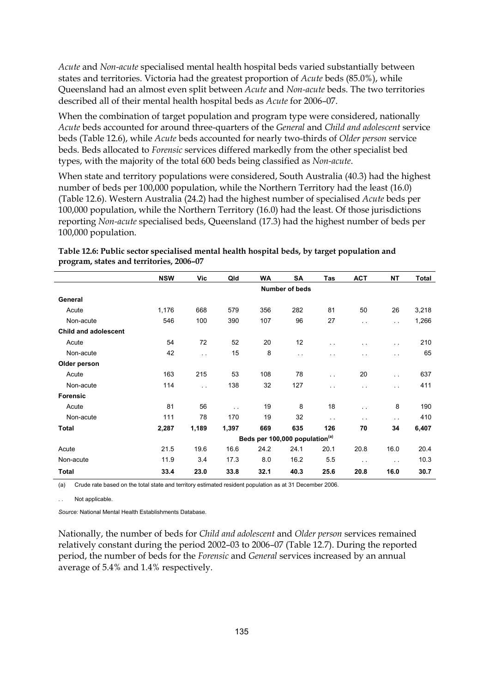*Acute* and *Non-acute* specialised mental health hospital beds varied substantially between states and territories. Victoria had the greatest proportion of *Acute* beds (85.0%), while Queensland had an almost even split between *Acute* and *Non-acute* beds. The two territories described all of their mental health hospital beds as *Acute* for 2006–07.

When the combination of target population and program type were considered, nationally *Acute* beds accounted for around three-quarters of the *General* and *Child and adolescent* service beds (Table 12.6), while *Acute* beds accounted for nearly two-thirds of *Older person* service beds. Beds allocated to *Forensic* services differed markedly from the other specialist bed types, with the majority of the total 600 beds being classified as *Non-acute*.

When state and territory populations were considered, South Australia (40.3) had the highest number of beds per 100,000 population, while the Northern Territory had the least (16.0) (Table 12.6). Western Australia (24.2) had the highest number of specialised *Acute* beds per 100,000 population, while the Northern Territory (16.0) had the least. Of those jurisdictions reporting *Non-acute* specialised beds, Queensland (17.3) had the highest number of beds per 100,000 population.

|                             | <b>NSW</b> | Vic   | Qld           | WA                                         | SΑ             | Tas                  | <b>ACT</b>           | <b>NT</b>            | Total |
|-----------------------------|------------|-------|---------------|--------------------------------------------|----------------|----------------------|----------------------|----------------------|-------|
|                             |            |       |               |                                            | Number of beds |                      |                      |                      |       |
| General                     |            |       |               |                                            |                |                      |                      |                      |       |
| Acute                       | 1,176      | 668   | 579           | 356                                        | 282            | 81                   | 50                   | 26                   | 3,218 |
| Non-acute                   | 546        | 100   | 390           | 107                                        | 96             | 27                   | $\ddot{\phantom{a}}$ | $\ddot{\phantom{a}}$ | 1,266 |
| <b>Child and adolescent</b> |            |       |               |                                            |                |                      |                      |                      |       |
| Acute                       | 54         | 72    | 52            | 20                                         | 12             | $\ddot{\phantom{1}}$ |                      | $\sim$ $\sim$        | 210   |
| Non-acute                   | 42         | i.    | 15            | 8                                          | $\sim$ $\sim$  | $\sim$ $\sim$        | $\sim$ $\sim$        | $\ddot{\phantom{a}}$ | 65    |
| Older person                |            |       |               |                                            |                |                      |                      |                      |       |
| Acute                       | 163        | 215   | 53            | 108                                        | 78             | $\ddot{\phantom{a}}$ | 20                   | $\sim$ $\sim$        | 637   |
| Non-acute                   | 114        | i.    | 138           | 32                                         | 127            | $\ddotsc$            | $\ddot{\phantom{a}}$ | $\sim$ $\sim$        | 411   |
| <b>Forensic</b>             |            |       |               |                                            |                |                      |                      |                      |       |
| Acute                       | 81         | 56    | $\sim$ $\sim$ | 19                                         | 8              | 18                   | $\ddotsc$            | 8                    | 190   |
| Non-acute                   | 111        | 78    | 170           | 19                                         | 32             | $\sim$ $\sim$        | $\ddot{\phantom{1}}$ | $\ddotsc$            | 410   |
| Total                       | 2,287      | 1,189 | 1,397         | 669                                        | 635            | 126                  | 70                   | 34                   | 6,407 |
|                             |            |       |               | Beds per 100,000 population <sup>(a)</sup> |                |                      |                      |                      |       |
| Acute                       | 21.5       | 19.6  | 16.6          | 24.2                                       | 24.1           | 20.1                 | 20.8                 | 16.0                 | 20.4  |
| Non-acute                   | 11.9       | 3.4   | 17.3          | 8.0                                        | 16.2           | 5.5                  | $\sim$ $\sim$        | $\sim$ $\sim$        | 10.3  |
| <b>Total</b>                | 33.4       | 23.0  | 33.8          | 32.1                                       | 40.3           | 25.6                 | 20.8                 | 16.0                 | 30.7  |

**Table 12.6: Public sector specialised mental health hospital beds, by target population and program, states and territories, 2006–07** 

(a) Crude rate based on the total state and territory estimated resident population as at 31 December 2006.

Not applicable.

*Source:* National Mental Health Establishments Database.

Nationally, the number of beds for *Child and adolescent* and *Older person* services remained relatively constant during the period 2002–03 to 2006–07 (Table 12.7). During the reported period, the number of beds for the *Forensic* and *General* services increased by an annual average of 5.4% and 1.4% respectively.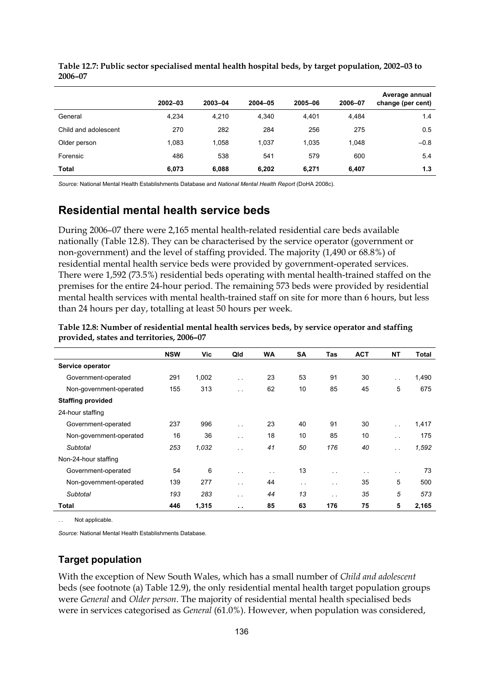|                      | $2002 - 03$ | 2003-04 | 2004-05 | 2005-06 | 2006-07 | Average annual<br>change (per cent) |
|----------------------|-------------|---------|---------|---------|---------|-------------------------------------|
| General              | 4.234       | 4.210   | 4.340   | 4.401   | 4.484   | 1.4                                 |
| Child and adolescent | 270         | 282     | 284     | 256     | 275     | 0.5                                 |
| Older person         | 1.083       | 1,058   | 1.037   | 1,035   | 1,048   | $-0.8$                              |
| Forensic             | 486         | 538     | 541     | 579     | 600     | 5.4                                 |
| Total                | 6,073       | 6,088   | 6,202   | 6,271   | 6,407   | 1.3                                 |

**Table 12.7: Public sector specialised mental health hospital beds, by target population, 2002–03 to 2006–07** 

*Source:* National Mental Health Establishments Database and *National Mental Health Report* (DoHA 2008c).

## **Residential mental health service beds**

During 2006–07 there were 2,165 mental health-related residential care beds available nationally (Table 12.8). They can be characterised by the service operator (government or non-government) and the level of staffing provided. The majority (1,490 or 68.8%) of residential mental health service beds were provided by government-operated services. There were 1,592 (73.5%) residential beds operating with mental health-trained staffed on the premises for the entire 24-hour period. The remaining 573 beds were provided by residential mental health services with mental health-trained staff on site for more than 6 hours, but less than 24 hours per day, totalling at least 50 hours per week.

|                          | <b>NSW</b> | Vic   | Qld                  | <b>WA</b> | <b>SA</b>     | Tas                  | <b>ACT</b> | <b>NT</b>            | Total |
|--------------------------|------------|-------|----------------------|-----------|---------------|----------------------|------------|----------------------|-------|
| Service operator         |            |       |                      |           |               |                      |            |                      |       |
| Government-operated      | 291        | 1,002 | $\ddotsc$            | 23        | 53            | 91                   | 30         | . .                  | 1,490 |
| Non-government-operated  | 155        | 313   | $\sim$               | 62        | 10            | 85                   | 45         | 5                    | 675   |
| <b>Staffing provided</b> |            |       |                      |           |               |                      |            |                      |       |
| 24-hour staffing         |            |       |                      |           |               |                      |            |                      |       |
| Government-operated      | 237        | 996   | $\sim$               | 23        | 40            | 91                   | 30         | $\ddot{\phantom{a}}$ | 1,417 |
| Non-government-operated  | 16         | 36    | $\ddotsc$            | 18        | 10            | 85                   | 10         | $\sim$               | 175   |
| Subtotal                 | 253        | 1,032 | . .                  | 41        | 50            | 176                  | 40         | $\ddot{\phantom{0}}$ | 1,592 |
| Non-24-hour staffing     |            |       |                      |           |               |                      |            |                      |       |
| Government-operated      | 54         | 6     | $\sim$               | $\sim$    | 13            | $\sim$ $\sim$        | $\sim$     | $\sim$               | 73    |
| Non-government-operated  | 139        | 277   | $\sim$               | 44        | $\sim$ $\sim$ | $\sim$ $\sim$        | 35         | 5                    | 500   |
| Subtotal                 | 193        | 283   | $\ddot{\phantom{0}}$ | 44        | 13            | $\ddot{\phantom{0}}$ | 35         | 5                    | 573   |
| <b>Total</b>             | 446        | 1,315 | . .                  | 85        | 63            | 176                  | 75         | 5                    | 2,165 |

**Table 12.8: Number of residential mental health services beds, by service operator and staffing provided, states and territories, 2006–07** 

Not applicable

*Source:* National Mental Health Establishments Database.

## **Target population**

With the exception of New South Wales, which has a small number of *Child and adolescent* beds (see footnote (a) Table 12.9), the only residential mental health target population groups were *General* and *Older person*. The majority of residential mental health specialised beds were in services categorised as *General* (61.0%). However, when population was considered,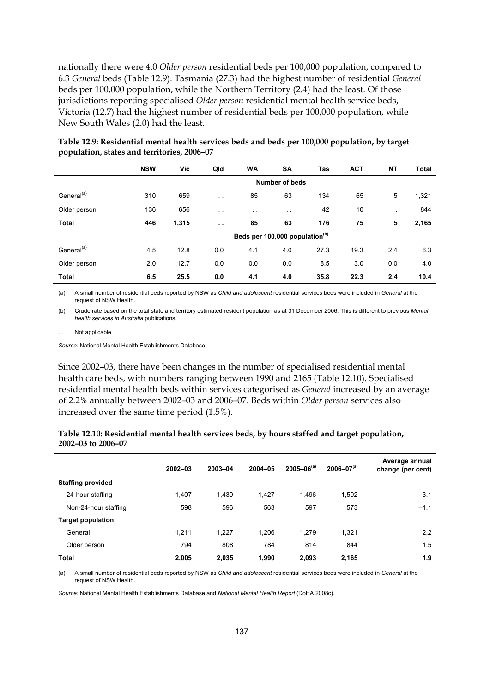nationally there were 4.0 *Older person* residential beds per 100,000 population, compared to 6.3 *General* beds (Table 12.9). Tasmania (27.3) had the highest number of residential *General* beds per 100,000 population, while the Northern Territory (2.4) had the least. Of those jurisdictions reporting specialised *Older person* residential mental health service beds, Victoria (12.7) had the highest number of residential beds per 100,000 population, while New South Wales (2.0) had the least.

|                        | <b>NSW</b> | Vic   | Qld                  | <b>WA</b>                                  | <b>SA</b>      | Tas  | <b>ACT</b> | <b>NT</b>     | <b>Total</b> |
|------------------------|------------|-------|----------------------|--------------------------------------------|----------------|------|------------|---------------|--------------|
|                        |            |       |                      |                                            | Number of beds |      |            |               |              |
| General <sup>(a)</sup> | 310        | 659   | $\sim$ $\sim$        | 85                                         | 63             | 134  | 65         | 5             | 1,321        |
| Older person           | 136        | 656   | $\sim$ $\sim$        | $\ddot{\phantom{1}}$                       | $\sim$ $\sim$  | 42   | 10         | $\sim$ $\sim$ | 844          |
| <b>Total</b>           | 446        | 1,315 | $\ddot{\phantom{0}}$ | 85                                         | 63             | 176  | 75         | 5             | 2,165        |
|                        |            |       |                      | Beds per 100,000 population <sup>(b)</sup> |                |      |            |               |              |
| General <sup>(a)</sup> | 4.5        | 12.8  | 0.0                  | 4.1                                        | 4.0            | 27.3 | 19.3       | 2.4           | 6.3          |
| Older person           | 2.0        | 12.7  | 0.0                  | 0.0                                        | 0.0            | 8.5  | 3.0        | 0.0           | 4.0          |
| <b>Total</b>           | 6.5        | 25.5  | 0.0                  | 4.1                                        | 4.0            | 35.8 | 22.3       | 2.4           | 10.4         |

**Table 12.9: Residential mental health services beds and beds per 100,000 population, by target population, states and territories, 2006–07** 

(a) A small number of residential beds reported by NSW as *Child and adolescent* residential services beds were included in *General* at the request of NSW Health.

(b) Crude rate based on the total state and territory estimated resident population as at 31 December 2006. This is different to previous *Mental health services in Australia* publications.

Not applicable.

*Source:* National Mental Health Establishments Database.

Since 2002–03, there have been changes in the number of specialised residential mental health care beds, with numbers ranging between 1990 and 2165 (Table 12.10). Specialised residential mental health beds within services categorised as *General* increased by an average of 2.2% annually between 2002–03 and 2006–07. Beds within *Older person* services also increased over the same time period (1.5%).

| Table 12.10: Residential mental health services beds, by hours staffed and target population, |  |
|-----------------------------------------------------------------------------------------------|--|
| 2002–03 to 2006–07                                                                            |  |

|                          | $2002 - 03$ | 2003-04 | 2004-05 | $2005 - 06^{(a)}$ | $2006 - 07^{(a)}$ | Average annual<br>change (per cent) |
|--------------------------|-------------|---------|---------|-------------------|-------------------|-------------------------------------|
| <b>Staffing provided</b> |             |         |         |                   |                   |                                     |
| 24-hour staffing         | 1.407       | 1,439   | 1,427   | 1,496             | 1,592             | 3.1                                 |
| Non-24-hour staffing     | 598         | 596     | 563     | 597               | 573               | $-1.1$                              |
| <b>Target population</b> |             |         |         |                   |                   |                                     |
| General                  | 1,211       | 1,227   | 1,206   | 1,279             | 1,321             | 2.2                                 |
| Older person             | 794         | 808     | 784     | 814               | 844               | 1.5                                 |
| <b>Total</b>             | 2,005       | 2,035   | 1.990   | 2.093             | 2,165             | 1.9                                 |

(a) A small number of residential beds reported by NSW as *Child and adolescent* residential services beds were included in *General* at the request of NSW Health.

*Source:* National Mental Health Establishments Database and *National Mental Health Report* (DoHA 2008c).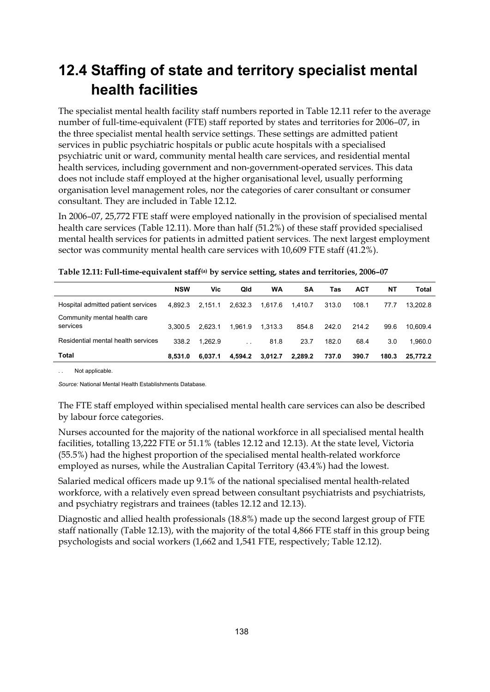# **12.4 Staffing of state and territory specialist mental health facilities**

The specialist mental health facility staff numbers reported in Table 12.11 refer to the average number of full-time-equivalent (FTE) staff reported by states and territories for 2006–07, in the three specialist mental health service settings. These settings are admitted patient services in public psychiatric hospitals or public acute hospitals with a specialised psychiatric unit or ward, community mental health care services, and residential mental health services, including government and non-government-operated services. This data does not include staff employed at the higher organisational level, usually performing organisation level management roles, nor the categories of carer consultant or consumer consultant. They are included in Table 12.12.

In 2006–07, 25,772 FTE staff were employed nationally in the provision of specialised mental health care services (Table 12.11). More than half (51.2%) of these staff provided specialised mental health services for patients in admitted patient services. The next largest employment sector was community mental health care services with 10,609 FTE staff (41.2%).

|                                          | <b>NSW</b> | Vic     | Qld     | <b>WA</b> | <b>SA</b> | Tas   | <b>ACT</b> | NΤ    | Total    |
|------------------------------------------|------------|---------|---------|-----------|-----------|-------|------------|-------|----------|
| Hospital admitted patient services       | 4.892.3    | 2.151.1 | 2.632.3 | 1,617.6   | 1.410.7   | 313.0 | 108.1      | 77.7  | 13,202.8 |
| Community mental health care<br>services | 3.300.5    | 2.623.1 | 1.961.9 | 1.313.3   | 854.8     | 242.0 | 214.2      | 99.6  | 10.609.4 |
| Residential mental health services       | 338.2      | 1.262.9 |         | 81.8      | 23.7      | 182.0 | 68.4       | 3.0   | 1.960.0  |
| Total                                    | 8.531.0    | 6.037.1 | 4.594.2 | 3.012.7   | 2,289.2   | 737.0 | 390.7      | 180.3 | 25.772.2 |

. . Not applicable.

*Source:* National Mental Health Establishments Database.

The FTE staff employed within specialised mental health care services can also be described by labour force categories.

Nurses accounted for the majority of the national workforce in all specialised mental health facilities, totalling 13,222 FTE or 51.1% (tables 12.12 and 12.13). At the state level, Victoria (55.5%) had the highest proportion of the specialised mental health-related workforce employed as nurses, while the Australian Capital Territory (43.4%) had the lowest.

Salaried medical officers made up 9.1% of the national specialised mental health-related workforce, with a relatively even spread between consultant psychiatrists and psychiatrists, and psychiatry registrars and trainees (tables 12.12 and 12.13).

Diagnostic and allied health professionals (18.8%) made up the second largest group of FTE staff nationally (Table 12.13), with the majority of the total 4,866 FTE staff in this group being psychologists and social workers (1,662 and 1,541 FTE, respectively; Table 12.12).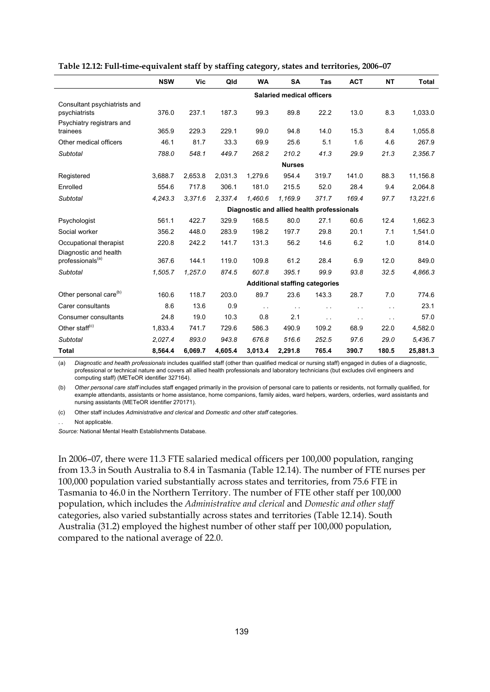|                                                 | <b>NSW</b>                       | <b>Vic</b> | Qld     | <b>WA</b>     | <b>SA</b>                                  | Tas           | <b>ACT</b>    | <b>NT</b>     | <b>Total</b> |  |  |
|-------------------------------------------------|----------------------------------|------------|---------|---------------|--------------------------------------------|---------------|---------------|---------------|--------------|--|--|
|                                                 | <b>Salaried medical officers</b> |            |         |               |                                            |               |               |               |              |  |  |
| Consultant psychiatrists and<br>psychiatrists   | 376.0                            | 237.1      | 187.3   | 99.3          | 89.8                                       | 22.2          | 13.0          | 8.3           | 1,033.0      |  |  |
| Psychiatry registrars and<br>trainees           | 365.9                            | 229.3      | 229.1   | 99.0          | 94.8                                       | 14.0          | 15.3          | 8.4           | 1,055.8      |  |  |
| Other medical officers                          | 46.1                             | 81.7       | 33.3    | 69.9          | 25.6                                       | 5.1           | 1.6           | 4.6           | 267.9        |  |  |
| Subtotal                                        | 788.0                            | 548.1      | 449.7   | 268.2         | 210.2                                      | 41.3          | 29.9          | 21.3          | 2,356.7      |  |  |
|                                                 |                                  |            |         |               | <b>Nurses</b>                              |               |               |               |              |  |  |
| Registered                                      | 3,688.7                          | 2,653.8    | 2,031.3 | 1,279.6       | 954.4                                      | 319.7         | 141.0         | 88.3          | 11,156.8     |  |  |
| Enrolled                                        | 554.6                            | 717.8      | 306.1   | 181.0         | 215.5                                      | 52.0          | 28.4          | 9.4           | 2,064.8      |  |  |
| Subtotal                                        | 4,243.3                          | 3,371.6    | 2,337.4 | 1,460.6       | 1,169.9                                    | 371.7         | 169.4         | 97.7          | 13,221.6     |  |  |
|                                                 |                                  |            |         |               | Diagnostic and allied health professionals |               |               |               |              |  |  |
| Psychologist                                    | 561.1                            | 422.7      | 329.9   | 168.5         | 80.0                                       | 27.1          | 60.6          | 12.4          | 1,662.3      |  |  |
| Social worker                                   | 356.2                            | 448.0      | 283.9   | 198.2         | 197.7                                      | 29.8          | 20.1          | 7.1           | 1,541.0      |  |  |
| Occupational therapist<br>Diagnostic and health | 220.8                            | 242.2      | 141.7   | 131.3         | 56.2                                       | 14.6          | 6.2           | 1.0           | 814.0        |  |  |
| professionals <sup>(a)</sup>                    | 367.6                            | 144.1      | 119.0   | 109.8         | 61.2                                       | 28.4          | 6.9           | 12.0          | 849.0        |  |  |
| Subtotal                                        | 1,505.7                          | 1,257.0    | 874.5   | 607.8         | 395.1                                      | 99.9          | 93.8          | 32.5          | 4.866.3      |  |  |
|                                                 |                                  |            |         |               | <b>Additional staffing categories</b>      |               |               |               |              |  |  |
| Other personal care <sup>(b)</sup>              | 160.6                            | 118.7      | 203.0   | 89.7          | 23.6                                       | 143.3         | 28.7          | 7.0           | 774.6        |  |  |
| Carer consultants                               | 8.6                              | 13.6       | 0.9     | $\sim$ $\sim$ | $\sim$ $\sim$                              | . .           | $\ddotsc$     | $\sim$ $\sim$ | 23.1         |  |  |
| Consumer consultants                            | 24.8                             | 19.0       | 10.3    | 0.8           | 2.1                                        | $\sim$ $\sim$ | $\sim$ $\sim$ | $\sim$ $\sim$ | 57.0         |  |  |
| Other staff <sup>(c)</sup>                      | 1,833.4                          | 741.7      | 729.6   | 586.3         | 490.9                                      | 109.2         | 68.9          | 22.0          | 4,582.0      |  |  |
| Subtotal                                        | 2,027.4                          | 893.0      | 943.8   | 676.8         | 516.6                                      | 252.5         | 97.6          | 29.0          | 5,436.7      |  |  |
| <b>Total</b>                                    | 8,564.4                          | 6,069.7    | 4,605.4 | 3,013.4       | 2,291.8                                    | 765.4         | 390.7         | 180.5         | 25,881.3     |  |  |

| Table 12.12: Full-time-equivalent staff by staffing category, states and territories, 2006-07 |  |  |
|-----------------------------------------------------------------------------------------------|--|--|
|                                                                                               |  |  |

(a) *Diagnostic and health professionals* includes qualified staff (other than qualified medical or nursing staff) engaged in duties of a diagnostic, professional or technical nature and covers all allied health professionals and laboratory technicians (but excludes civil engineers and computing staff) (METeOR identifier 327164).

(b) *Other personal care staff* includes staff engaged primarily in the provision of personal care to patients or residents, not formally qualified, for example attendants, assistants or home assistance, home companions, family aides, ward helpers, warders, orderlies, ward assistants and nursing assistants (METeOR identifier 270171).

(c) Other staff includes *Administrative and clerical* and *Domestic and other staff* categories.

Not applicable.

*Source:* National Mental Health Establishments Database.

In 2006–07, there were 11.3 FTE salaried medical officers per 100,000 population, ranging from 13.3 in South Australia to 8.4 in Tasmania (Table 12.14). The number of FTE nurses per 100,000 population varied substantially across states and territories, from 75.6 FTE in Tasmania to 46.0 in the Northern Territory. The number of FTE other staff per 100,000 population, which includes the *Administrative and clerical* and *Domestic and other staff* categories, also varied substantially across states and territories (Table 12.14). South Australia (31.2) employed the highest number of other staff per 100,000 population, compared to the national average of 22.0.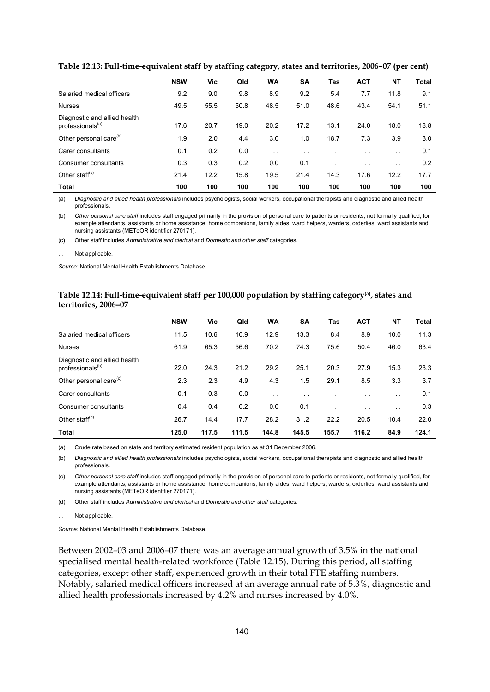|                                                              | <b>NSW</b> | Vic  | Qld  | <b>WA</b>     | <b>SA</b>            | Tas                  | <b>ACT</b>           | <b>NT</b>     | Total |
|--------------------------------------------------------------|------------|------|------|---------------|----------------------|----------------------|----------------------|---------------|-------|
| Salaried medical officers                                    | 9.2        | 9.0  | 9.8  | 8.9           | 9.2                  | 5.4                  | 7.7                  | 11.8          | 9.1   |
| <b>Nurses</b>                                                | 49.5       | 55.5 | 50.8 | 48.5          | 51.0                 | 48.6                 | 43.4                 | 54.1          | 51.1  |
| Diagnostic and allied health<br>professionals <sup>(a)</sup> | 17.6       | 20.7 | 19.0 | 20.2          | 17.2                 | 13.1                 | 24.0                 | 18.0          | 18.8  |
| Other personal care <sup>(b)</sup>                           | 1.9        | 2.0  | 4.4  | 3.0           | 1.0                  | 18.7                 | 7.3                  | 3.9           | 3.0   |
| Carer consultants                                            | 0.1        | 0.2  | 0.0  | $\sim$ $\sim$ | $\ddot{\phantom{0}}$ | $\ddot{\phantom{0}}$ | $\ddot{\phantom{0}}$ | $\sim$ $\sim$ | 0.1   |
| Consumer consultants                                         | 0.3        | 0.3  | 0.2  | 0.0           | 0.1                  | $\ddotsc$            | $\ddot{\phantom{0}}$ | $\sim$ $\sim$ | 0.2   |
| Other staff $(c)$                                            | 21.4       | 12.2 | 15.8 | 19.5          | 21.4                 | 14.3                 | 17.6                 | 12.2          | 17.7  |
| <b>Total</b>                                                 | 100        | 100  | 100  | 100           | 100                  | 100                  | 100                  | 100           | 100   |

**Table 12.13: Full-time-equivalent staff by staffing category, states and territories, 2006–07 (per cent)** 

(a) *Diagnostic and allied health professionals* includes psychologists, social workers, occupational therapists and diagnostic and allied health professionals.

(b) *Other personal care staff* includes staff engaged primarily in the provision of personal care to patients or residents, not formally qualified, for example attendants, assistants or home assistance, home companions, family aides, ward helpers, warders, orderlies, ward assistants and nursing assistants (METeOR identifier 270171).

(c) Other staff includes *Administrative and clerical* and *Domestic and other staff* categories.

Not applicable.

*Source:* National Mental Health Establishments Database.

### **Table 12.14: Full-time-equivalent staff per 100,000 population by staffing category(a), states and territories, 2006–07**

|                                                              | <b>NSW</b> | Vic   | Qld   | <b>WA</b>     | <b>SA</b>            | Tas       | <b>ACT</b>    | NΤ                   | <b>Total</b> |
|--------------------------------------------------------------|------------|-------|-------|---------------|----------------------|-----------|---------------|----------------------|--------------|
| Salaried medical officers                                    | 11.5       | 10.6  | 10.9  | 12.9          | 13.3                 | 8.4       | 8.9           | 10.0                 | 11.3         |
| <b>Nurses</b>                                                | 61.9       | 65.3  | 56.6  | 70.2          | 74.3                 | 75.6      | 50.4          | 46.0                 | 63.4         |
| Diagnostic and allied health<br>professionals <sup>(b)</sup> | 22.0       | 24.3  | 21.2  | 29.2          | 25.1                 | 20.3      | 27.9          | 15.3                 | 23.3         |
| Other personal care <sup>(c)</sup>                           | 2.3        | 2.3   | 4.9   | 4.3           | 1.5                  | 29.1      | 8.5           | 3.3                  | 3.7          |
| Carer consultants                                            | 0.1        | 0.3   | 0.0   | $\sim$ $\sim$ | $\ddot{\phantom{1}}$ | $\cdot$ . | $\sim$ $\sim$ | $\sim$ $\sim$        | 0.1          |
| Consumer consultants                                         | 0.4        | 0.4   | 0.2   | 0.0           | 0.1                  | $\ddotsc$ | $\cdot$ .     | $\ddot{\phantom{0}}$ | 0.3          |
| Other staff $^{(d)}$                                         | 26.7       | 14.4  | 17.7  | 28.2          | 31.2                 | 22.2      | 20.5          | 10.4                 | 22.0         |
| <b>Total</b>                                                 | 125.0      | 117.5 | 111.5 | 144.8         | 145.5                | 155.7     | 116.2         | 84.9                 | 124.1        |

(a) Crude rate based on state and territory estimated resident population as at 31 December 2006.

(b) *Diagnostic and allied health professionals* includes psychologists, social workers, occupational therapists and diagnostic and allied health professionals.

(c) *Other personal care staff* includes staff engaged primarily in the provision of personal care to patients or residents, not formally qualified, for example attendants, assistants or home assistance, home companions, family aides, ward helpers, warders, orderlies, ward assistants and nursing assistants (METeOR identifier 270171).

(d) Other staff includes *Administrative and clerical* and *Domestic and other staff* categories.

Not applicable

*Source:* National Mental Health Establishments Database.

Between 2002–03 and 2006–07 there was an average annual growth of 3.5% in the national specialised mental health-related workforce (Table 12.15). During this period, all staffing categories, except other staff, experienced growth in their total FTE staffing numbers. Notably, salaried medical officers increased at an average annual rate of 5.3%, diagnostic and allied health professionals increased by 4.2% and nurses increased by 4.0%.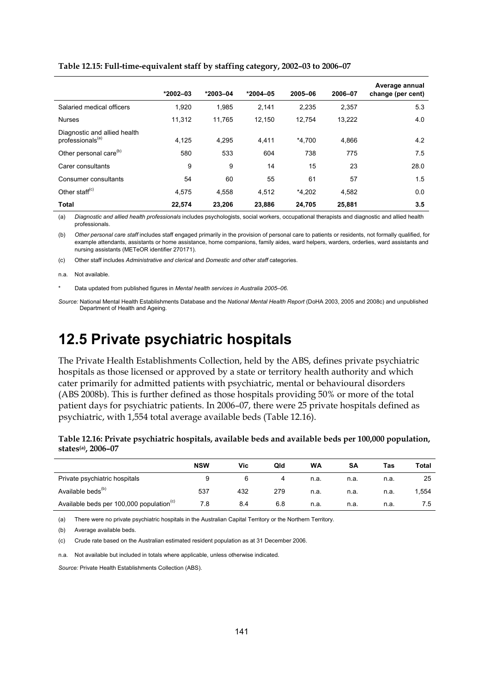|                                                              | $*2002 - 03$ | $*2003 - 04$ | $*2004 - 05$ | 2005-06  | 2006-07 | Average annual<br>change (per cent) |
|--------------------------------------------------------------|--------------|--------------|--------------|----------|---------|-------------------------------------|
| Salaried medical officers                                    | 1,920        | 1,985        | 2,141        | 2,235    | 2,357   | 5.3                                 |
| <b>Nurses</b>                                                | 11.312       | 11.765       | 12.150       | 12.754   | 13.222  | 4.0                                 |
| Diagnostic and allied health<br>professionals <sup>(a)</sup> | 4,125        | 4,295        | 4,411        | $*4.700$ | 4.866   | 4.2                                 |
| Other personal care <sup>(b)</sup>                           | 580          | 533          | 604          | 738      | 775     | 7.5                                 |
| Carer consultants                                            | 9            | 9            | 14           | 15       | 23      | 28.0                                |
| Consumer consultants                                         | 54           | 60           | 55           | 61       | 57      | 1.5                                 |
| Other staff <sup>(c)</sup>                                   | 4.575        | 4.558        | 4,512        | $*4.202$ | 4.582   | 0.0                                 |
| <b>Total</b>                                                 | 22.574       | 23,206       | 23,886       | 24,705   | 25,881  | 3.5                                 |

#### **Table 12.15: Full-time-equivalent staff by staffing category, 2002–03 to 2006–07**

(a) *Diagnostic and allied health professionals* includes psychologists, social workers, occupational therapists and diagnostic and allied health professionals.

(b) *Other personal care staff* includes staff engaged primarily in the provision of personal care to patients or residents, not formally qualified, for example attendants, assistants or home assistance, home companions, family aides, ward helpers, warders, orderlies, ward assistants and nursing assistants (METeOR identifier 270171).

(c) Other staff includes *Administrative and clerical* and *Domestic and other staff* categories.

n.a. Not available.

\* Data updated from published figures in *Mental health services in Australia 2005–06*.

*Source:* National Mental Health Establishments Database and the *National Mental Health Report* (DoHA 2003, 2005 and 2008c) and unpublished Department of Health and Ageing.

## **12.5 Private psychiatric hospitals**

The Private Health Establishments Collection, held by the ABS, defines private psychiatric hospitals as those licensed or approved by a state or territory health authority and which cater primarily for admitted patients with psychiatric, mental or behavioural disorders (ABS 2008b). This is further defined as those hospitals providing 50% or more of the total patient days for psychiatric patients. In 2006–07, there were 25 private hospitals defined as psychiatric, with 1,554 total average available beds (Table 12.16).

### **Table 12.16: Private psychiatric hospitals, available beds and available beds per 100,000 population, states(a), 2006–07**

|                                                      | <b>NSW</b> | Vic | Qld | WA   | SΑ   | Tas  | Total |
|------------------------------------------------------|------------|-----|-----|------|------|------|-------|
| Private psychiatric hospitals                        |            |     | 4   | n.a. | n.a. | n.a. | 25    |
| Available beds <sup>(b)</sup>                        | 537        | 432 | 279 | n.a. | n.a. | n.a. | 1,554 |
| Available beds per 100,000 population <sup>(c)</sup> | 7.8        | 8.4 | 6.8 | n.a. | n.a. | n.a. | 7.5   |

(a) There were no private psychiatric hospitals in the Australian Capital Territory or the Northern Territory.

(b) Average available beds.

(c) Crude rate based on the Australian estimated resident population as at 31 December 2006.

n.a. Not available but included in totals where applicable, unless otherwise indicated.

*Source:* Private Health Establishments Collection (ABS).